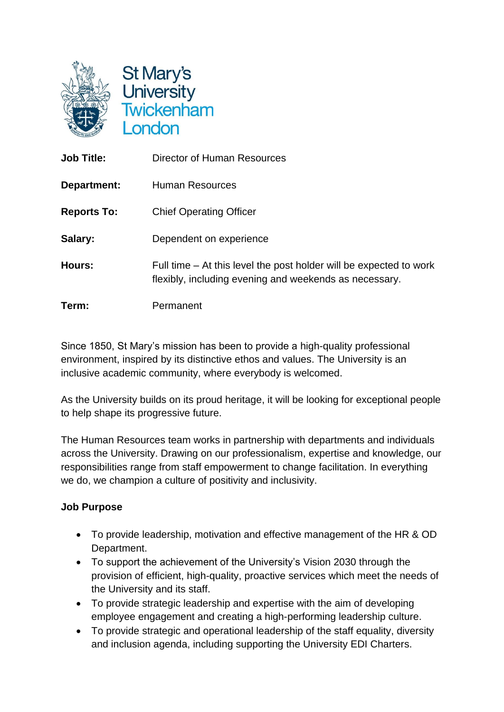

St Mary's University<br>Twickenham **London** 

| <b>Job Title:</b>  | Director of Human Resources                                                                                                  |
|--------------------|------------------------------------------------------------------------------------------------------------------------------|
| Department:        | <b>Human Resources</b>                                                                                                       |
| <b>Reports To:</b> | <b>Chief Operating Officer</b>                                                                                               |
| Salary:            | Dependent on experience                                                                                                      |
| Hours:             | Full time – At this level the post holder will be expected to work<br>flexibly, including evening and weekends as necessary. |
| Term:              | Permanent                                                                                                                    |

Since 1850, St Mary's mission has been to provide a high-quality professional environment, inspired by its distinctive ethos and values. The University is an inclusive academic community, where everybody is welcomed.

As the University builds on its proud heritage, it will be looking for exceptional people to help shape its progressive future.

The Human Resources team works in partnership with departments and individuals across the University. Drawing on our professionalism, expertise and knowledge, our responsibilities range from staff empowerment to change facilitation. In everything we do, we champion a culture of positivity and inclusivity.

# **Job Purpose**

- To provide leadership, motivation and effective management of the HR & OD Department.
- To support the achievement of the University's Vision 2030 through the provision of efficient, high-quality, proactive services which meet the needs of the University and its staff.
- To provide strategic leadership and expertise with the aim of developing employee engagement and creating a high-performing leadership culture.
- To provide strategic and operational leadership of the staff equality, diversity and inclusion agenda, including supporting the University EDI Charters.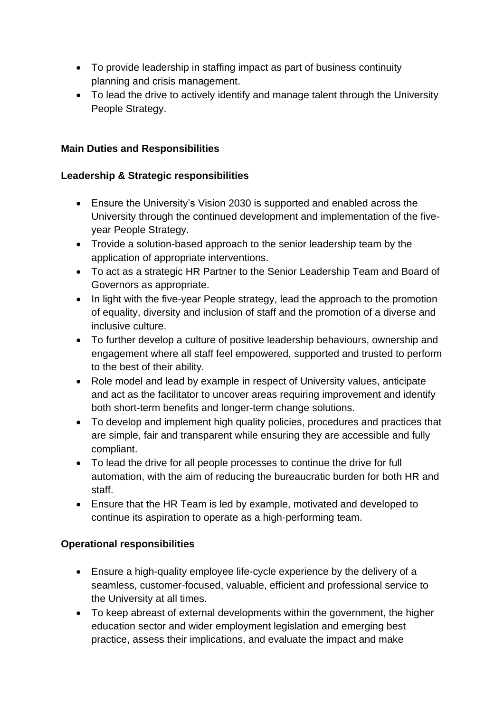- To provide leadership in staffing impact as part of business continuity planning and crisis management.
- To lead the drive to actively identify and manage talent through the University People Strategy.

## **Main Duties and Responsibilities**

## **Leadership & Strategic responsibilities**

- Ensure the University's Vision 2030 is supported and enabled across the University through the continued development and implementation of the fiveyear People Strategy.
- Trovide a solution-based approach to the senior leadership team by the application of appropriate interventions.
- To act as a strategic HR Partner to the Senior Leadership Team and Board of Governors as appropriate.
- In light with the five-year People strategy, lead the approach to the promotion of equality, diversity and inclusion of staff and the promotion of a diverse and inclusive culture.
- To further develop a culture of positive leadership behaviours, ownership and engagement where all staff feel empowered, supported and trusted to perform to the best of their ability.
- Role model and lead by example in respect of University values, anticipate and act as the facilitator to uncover areas requiring improvement and identify both short-term benefits and longer-term change solutions.
- To develop and implement high quality policies, procedures and practices that are simple, fair and transparent while ensuring they are accessible and fully compliant.
- To lead the drive for all people processes to continue the drive for full automation, with the aim of reducing the bureaucratic burden for both HR and staff.
- Ensure that the HR Team is led by example, motivated and developed to continue its aspiration to operate as a high-performing team.

# **Operational responsibilities**

- Ensure a high-quality employee life-cycle experience by the delivery of a seamless, customer-focused, valuable, efficient and professional service to the University at all times.
- To keep abreast of external developments within the government, the higher education sector and wider employment legislation and emerging best practice, assess their implications, and evaluate the impact and make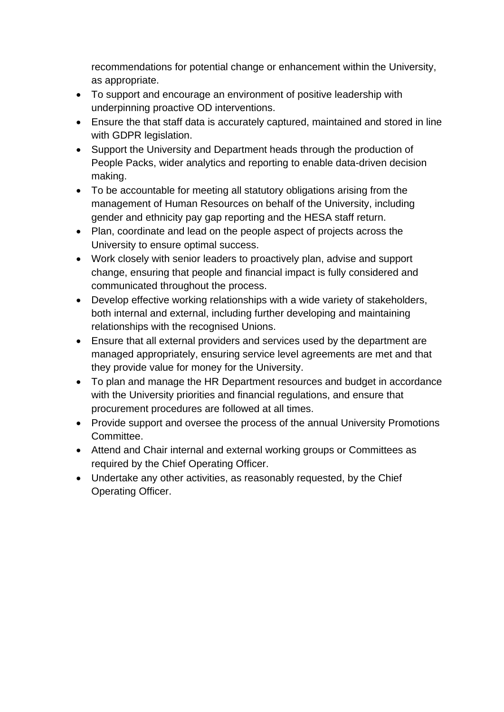recommendations for potential change or enhancement within the University, as appropriate.

- To support and encourage an environment of positive leadership with underpinning proactive OD interventions.
- Ensure the that staff data is accurately captured, maintained and stored in line with GDPR legislation.
- Support the University and Department heads through the production of People Packs, wider analytics and reporting to enable data-driven decision making.
- To be accountable for meeting all statutory obligations arising from the management of Human Resources on behalf of the University, including gender and ethnicity pay gap reporting and the HESA staff return.
- Plan, coordinate and lead on the people aspect of projects across the University to ensure optimal success.
- Work closely with senior leaders to proactively plan, advise and support change, ensuring that people and financial impact is fully considered and communicated throughout the process.
- Develop effective working relationships with a wide variety of stakeholders, both internal and external, including further developing and maintaining relationships with the recognised Unions.
- Ensure that all external providers and services used by the department are managed appropriately, ensuring service level agreements are met and that they provide value for money for the University.
- To plan and manage the HR Department resources and budget in accordance with the University priorities and financial regulations, and ensure that procurement procedures are followed at all times.
- Provide support and oversee the process of the annual University Promotions Committee.
- Attend and Chair internal and external working groups or Committees as required by the Chief Operating Officer.
- Undertake any other activities, as reasonably requested, by the Chief Operating Officer.